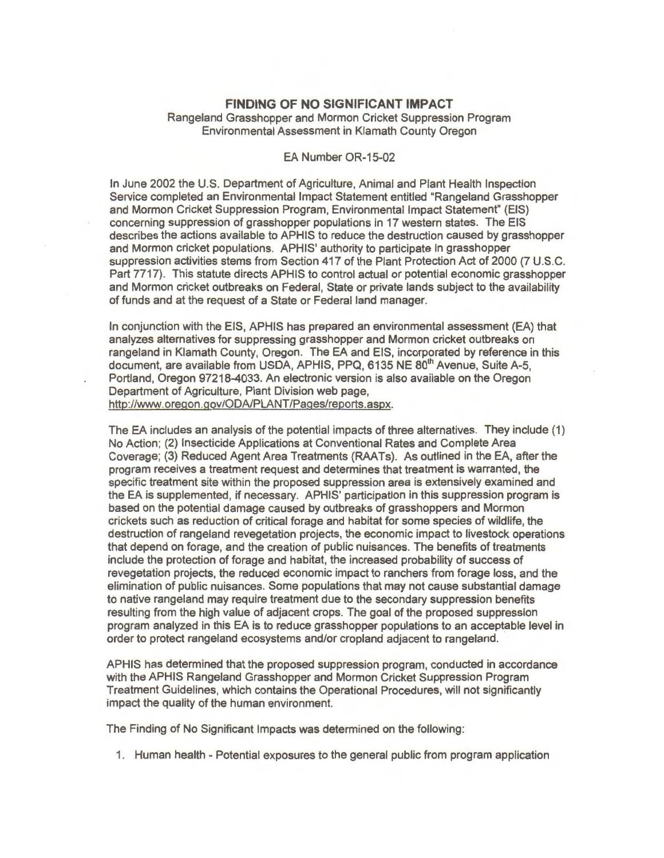## **FINDING OF NO SIGNIFICANT IMPACT**

Rangeland Grasshopper and Mormon Cricket Suppression Program Environmental Assessment in Klamath County Oregon

## EA Number OR-15-02

In June 2002 the U.S. Department of Agriculture, Animal and Plant Health Inspection Service completed an Environmental Impact Statement entitled "Rangeland Grasshopper and Mormon Cricket Suppression Program, Environmental Impact Statement" (EIS) concerning suppression of grasshopper populations in 17 western states. The EIS describes the actions available to APHIS to reduce the destruction caused by grasshopper and Mormon cricket populations. APHIS' authority to participate in grasshopper suppression activities stems from Section 417 of the Plant Protection Act of 2000 (7 U.S.C. Part 7717). This statute directs APHIS to control actual or potential economic grasshopper and Mormon cricket outbreaks on Federal, State or private lands subject to the availability of funds and at the request of a State or Federal land manager.

In conjunction with the EIS, APHIS has prepared an environmental assessment (EA) that analyzes alternatives for suppressing grasshopper and Mormon cricket outbreaks on rangeland in Klamath County, Oregon. The EA and EIS, incorporated by reference in this document, are available from USDA, APHIS, PPQ, 6135 NE 80<sup>th</sup> Avenue, Suite A-5, Portland, Oregon 97218-4033. An electronic version is also available on the Oregon Department of Agriculture, Plant Division web page, http://www.oregon.gov/ODA/PLANT/Pages/reports.aspx.

The EA includes an analysis of the potential impacts of three alternatives. They include (1) No Action; (2) Insecticide Applications at Conventional Rates and Complete Area Coverage; (3) Reduced Agent Area Treatments (RAATs). As outlined in the EA, after the program receives a treatment request and determines that treatment is warranted, the specific treatment site within the proposed suppression area is extensively examined and the EA is supplemented, if necessary. APHIS' participation in this suppression program is based on the potential damage caused by outbreaks of grasshoppers and Mormon crickets such as reduction of critical forage and habitat for some species of wildlife, the destruction of rangeland revegetation projects, the economic impact to livestock operations that depend on forage, and the creation of public nuisances. The benefits of treatments include the protection of forage and habitat, the increased probability of success of revegetation projects, the reduced economic impact to ranchers from forage loss, and the elimination of public nuisances. Some populations that may not cause substantial damage to native rangeland may require treatment due to the secondary suppression benefits resulting from the high value of adjacent crops. The goal of the proposed suppression program analyzed in this EA is to reduce grasshopper populations to an acceptable level in order to protect rangeland ecosystems and/or cropland adjacent to rangeland.

APHIS has determined that the proposed suppression program, conducted in accordance with the APHIS Rangeland Grasshopper and Mormon Cricket Suppression Program Treatment Guidelines, which contains the Operational Procedures, will not significantly impact the quality of the human environment.

The Finding of No Significant Impacts was determined on the following:

1. Human health - Potential exposures to the general public from program application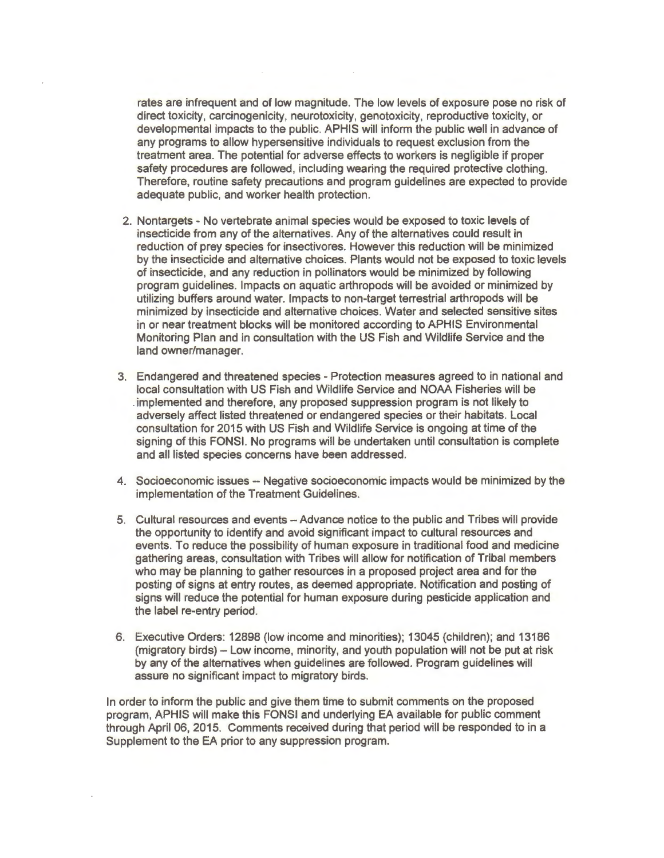rates are infrequent and of low magnitude. The low levels of exposure pose no risk of direct toxicity, carcinogenicity, neurotoxicity, genotoxicity, reproductive toxicity, or developmental impacts to the public. APHIS will inform the public well in advance of any programs to allow hypersensitive individuals to request exclusion from the treatment area. The potential for adverse effects to workers is negligible if proper safety procedures are followed, including wearing the required protective clothing. Therefore, routine safety precautions and program guidelines are expected to provide adequate public, and worker health protection.

- 2. Nontargets No vertebrate animal species would be exposed to toxic levels of insecticide from any of the alternatives. Any of the alternatives could result in reduction of prey species for insectivores. However this reduction will be minimized by the insecticide and alternative choices. Plants would not be exposed to toxic levels of insecticide, and any reduction in pollinators would be minimized by following program guidelines. Impacts on aquatic arthropods will be avoided or minimized by utilizing buffers around water. Impacts to non-target terrestrial arthropods will be minimized by insecticide and alternative choices. Water and selected sensitive sites in or near treatment blocks will be monitored according to APHIS Environmental Monitoring Plan and in consultation with the US Fish and Wildlife Service and the land owner/manager.
- 3. Endangered and threatened species Protection measures agreed to in national and local consultation with US Fish and Wildlife Service and NOAA Fisheries will be . implemented and therefore, any proposed suppression program is not likely to adversely affect listed threatened or endangered species or their habitats. Local consultation for 2015 with US Fish and Wildlife Service is ongoing at time of the signing of this FONS!. No programs will be undertaken until consultation is complete and all listed species concerns have been addressed.
- 4. Socioeconomic issues Negative socioeconomic impacts would be minimized by the implementation of the Treatment Guidelines.
- 5. Cultural resources and events Advance notice to the public and Tribes will provide the opportunity to identify and avoid significant impact to cultural resources and events. To reduce the possibility of human exposure in traditional food and medicine gathering areas, consultation with Tribes will allow for notification of Tribal members who may be planning to gather resources in a proposed project area and for the posting of signs at entry routes, as deemed appropriate. Notification and posting of signs will reduce the potential for human exposure during pesticide application and the label re-entry period.
- 6. Executive Orders: 12898 (low income and minorities); 13045 (children); and 13186 (migratory birds) - Low income, minority, and youth population will not be put at risk by any of the alternatives when guidelines are followed. Program guidelines will assure no significant impact to migratory birds.

In order to inform the public and give them time to submit comments on the proposed program, APHIS will make this FONSI and underlying EA available for public comment through April 06, 2015. Comments received during that period will be responded to in a Supplement to the EA prior to any suppression program.